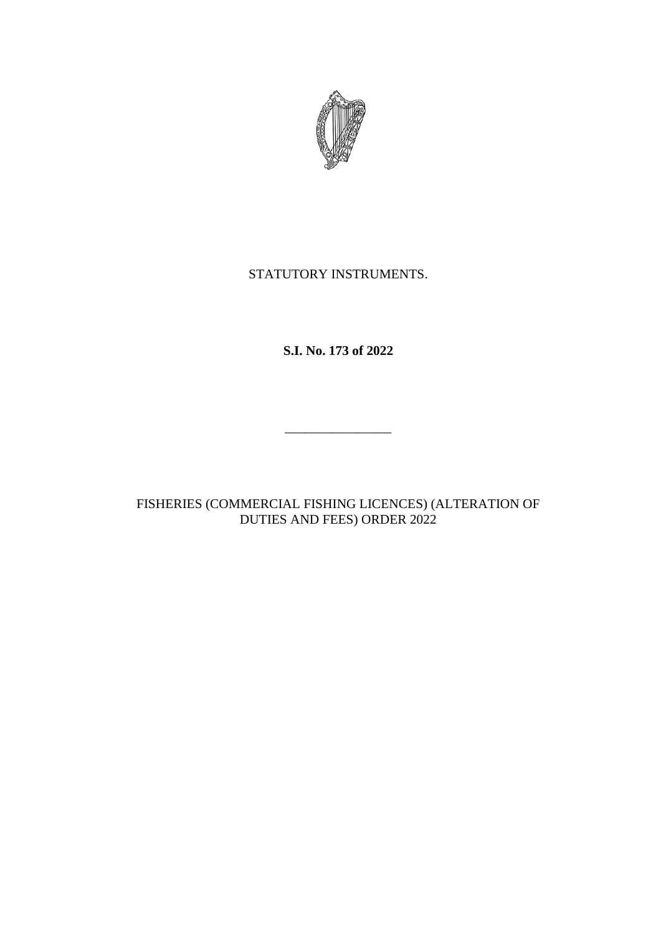

## STATUTORY INSTRUMENTS.

**S.I. No. 173 of 2022**

FISHERIES (COMMERCIAL FISHING LICENCES) (ALTERATION OF DUTIES AND FEES) ORDER 2022

\_\_\_\_\_\_\_\_\_\_\_\_\_\_\_\_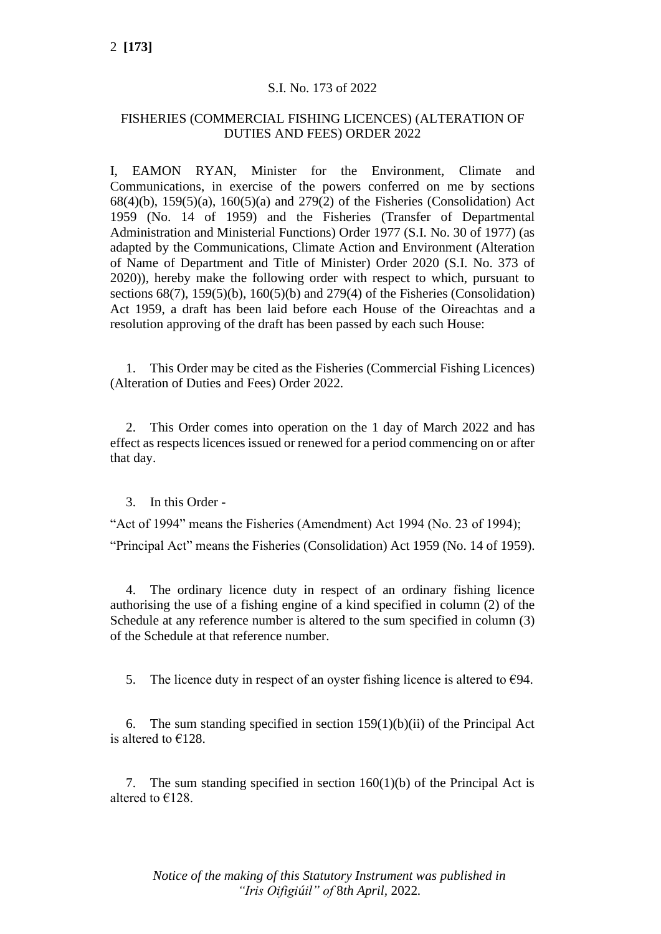## S.I. No. 173 of 2022

## FISHERIES (COMMERCIAL FISHING LICENCES) (ALTERATION OF DUTIES AND FEES) ORDER 2022

I, EAMON RYAN, Minister for the Environment, Climate and Communications, in exercise of the powers conferred on me by sections  $68(4)(b)$ ,  $159(5)(a)$ ,  $160(5)(a)$  and  $279(2)$  of the Fisheries (Consolidation) Act 1959 (No. 14 of 1959) and the Fisheries (Transfer of Departmental Administration and Ministerial Functions) Order 1977 (S.I. No. 30 of 1977) (as adapted by the Communications, Climate Action and Environment (Alteration of Name of Department and Title of Minister) Order 2020 (S.I. No. 373 of 2020)), hereby make the following order with respect to which, pursuant to sections  $68(7)$ ,  $159(5)(b)$ ,  $160(5)(b)$  and  $279(4)$  of the Fisheries (Consolidation) Act 1959, a draft has been laid before each House of the Oireachtas and a resolution approving of the draft has been passed by each such House:

1. This Order may be cited as the Fisheries (Commercial Fishing Licences) (Alteration of Duties and Fees) Order 2022.

2. This Order comes into operation on the 1 day of March 2022 and has effect as respects licences issued or renewed for a period commencing on or after that day.

3. In this Order -

"Act of 1994" means the Fisheries (Amendment) Act 1994 (No. 23 of 1994);

"Principal Act" means the Fisheries (Consolidation) Act 1959 (No. 14 of 1959).

4. The ordinary licence duty in respect of an ordinary fishing licence authorising the use of a fishing engine of a kind specified in column (2) of the Schedule at any reference number is altered to the sum specified in column (3) of the Schedule at that reference number.

5. The licence duty in respect of an oyster fishing licence is altered to  $\epsilon$ 94.

6. The sum standing specified in section  $159(1)(b)(ii)$  of the Principal Act is altered to €128.

7. The sum standing specified in section 160(1)(b) of the Principal Act is altered to €128.

*Notice of the making of this Statutory Instrument was published in "Iris Oifigiúil" of* 8*th April,* 2022*.*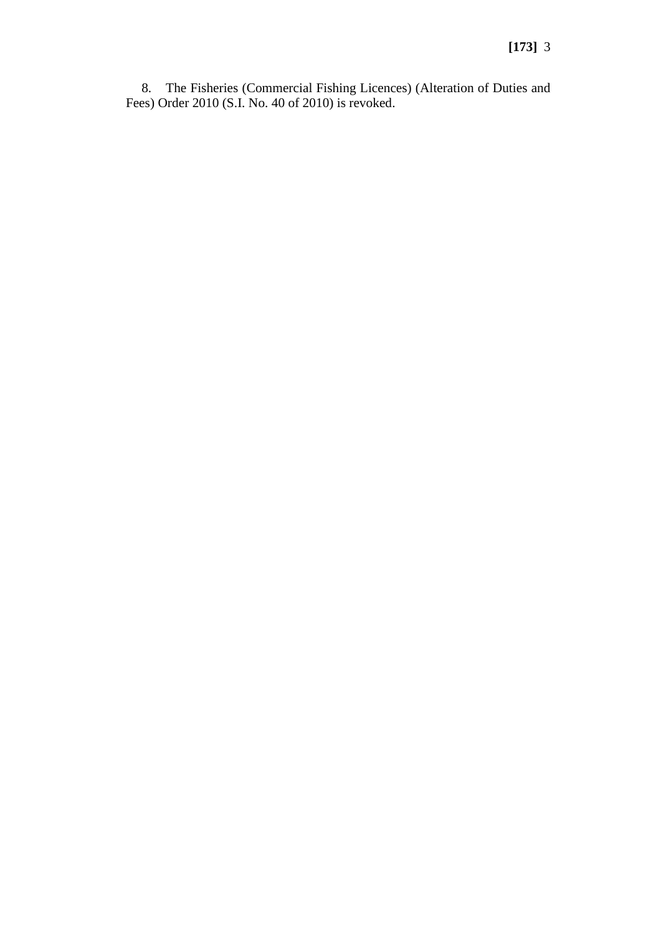8. The Fisheries (Commercial Fishing Licences) (Alteration of Duties and Fees) Order 2010 (S.I. No. 40 of 2010) is revoked.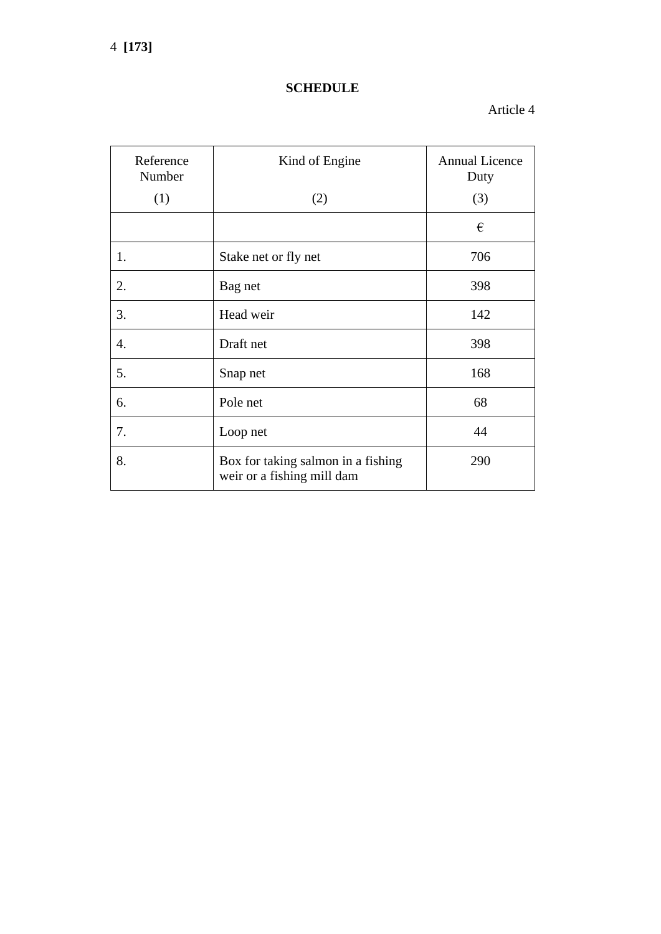## **SCHEDULE**

Article 4

| Reference<br>Number | Kind of Engine                                                   | <b>Annual Licence</b><br>Duty |
|---------------------|------------------------------------------------------------------|-------------------------------|
| (1)                 | (2)                                                              | (3)                           |
|                     |                                                                  | €                             |
| 1.                  | Stake net or fly net                                             | 706                           |
| 2.                  | Bag net                                                          | 398                           |
| 3.                  | Head weir                                                        | 142                           |
| 4.                  | Draft net                                                        | 398                           |
| 5.                  | Snap net                                                         | 168                           |
| 6.                  | Pole net                                                         | 68                            |
| 7.                  | Loop net                                                         | 44                            |
| 8.                  | Box for taking salmon in a fishing<br>weir or a fishing mill dam | 290                           |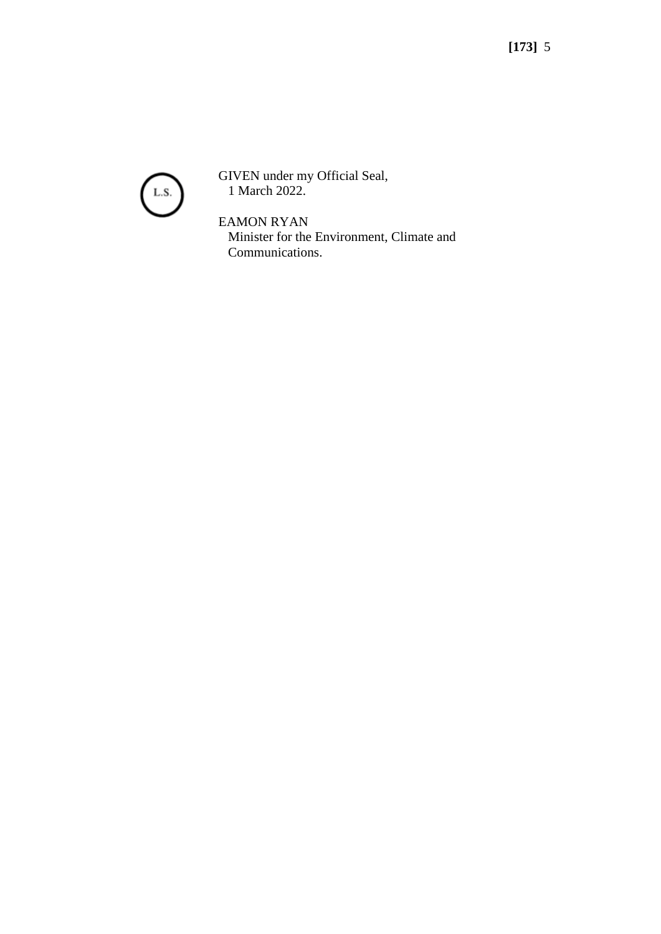

GIVEN under my Official Seal, 1 March 2022.

EAMON RYAN Minister for the Environment, Climate and Communications.